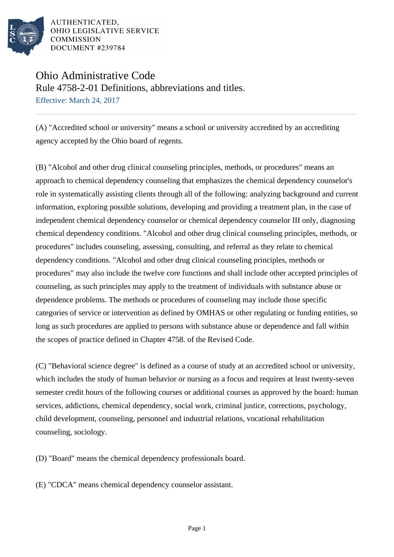

AUTHENTICATED. OHIO LEGISLATIVE SERVICE **COMMISSION** DOCUMENT #239784

## Ohio Administrative Code

Rule 4758-2-01 Definitions, abbreviations and titles.

Effective: March 24, 2017

(A) "Accredited school or university" means a school or university accredited by an accrediting agency accepted by the Ohio board of regents.

(B) "Alcohol and other drug clinical counseling principles, methods, or procedures" means an approach to chemical dependency counseling that emphasizes the chemical dependency counselor's role in systematically assisting clients through all of the following: analyzing background and current information, exploring possible solutions, developing and providing a treatment plan, in the case of independent chemical dependency counselor or chemical dependency counselor III only, diagnosing chemical dependency conditions. "Alcohol and other drug clinical counseling principles, methods, or procedures" includes counseling, assessing, consulting, and referral as they relate to chemical dependency conditions. "Alcohol and other drug clinical counseling principles, methods or procedures" may also include the twelve core functions and shall include other accepted principles of counseling, as such principles may apply to the treatment of individuals with substance abuse or dependence problems. The methods or procedures of counseling may include those specific categories of service or intervention as defined by OMHAS or other regulating or funding entities, so long as such procedures are applied to persons with substance abuse or dependence and fall within the scopes of practice defined in Chapter 4758. of the Revised Code.

(C) "Behavioral science degree" is defined as a course of study at an accredited school or university, which includes the study of human behavior or nursing as a focus and requires at least twenty-seven semester credit hours of the following courses or additional courses as approved by the board: human services, addictions, chemical dependency, social work, criminal justice, corrections, psychology, child development, counseling, personnel and industrial relations, vocational rehabilitation counseling, sociology.

(D) "Board" means the chemical dependency professionals board.

(E) "CDCA" means chemical dependency counselor assistant.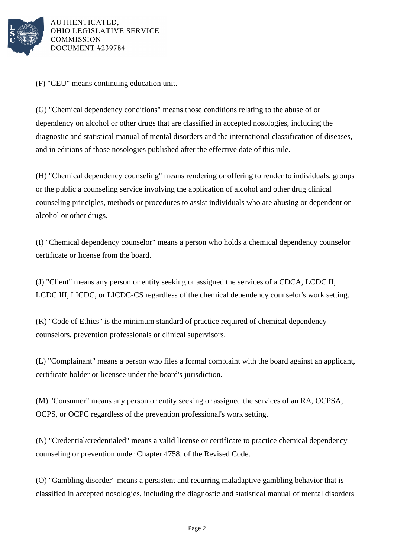

AUTHENTICATED, OHIO LEGISLATIVE SERVICE **COMMISSION** DOCUMENT #239784

(F) "CEU" means continuing education unit.

(G) "Chemical dependency conditions" means those conditions relating to the abuse of or dependency on alcohol or other drugs that are classified in accepted nosologies, including the diagnostic and statistical manual of mental disorders and the international classification of diseases, and in editions of those nosologies published after the effective date of this rule.

(H) "Chemical dependency counseling" means rendering or offering to render to individuals, groups or the public a counseling service involving the application of alcohol and other drug clinical counseling principles, methods or procedures to assist individuals who are abusing or dependent on alcohol or other drugs.

(I) "Chemical dependency counselor" means a person who holds a chemical dependency counselor certificate or license from the board.

(J) "Client" means any person or entity seeking or assigned the services of a CDCA, LCDC II, LCDC III, LICDC, or LICDC-CS regardless of the chemical dependency counselor's work setting.

(K) "Code of Ethics" is the minimum standard of practice required of chemical dependency counselors, prevention professionals or clinical supervisors.

(L) "Complainant" means a person who files a formal complaint with the board against an applicant, certificate holder or licensee under the board's jurisdiction.

(M) "Consumer" means any person or entity seeking or assigned the services of an RA, OCPSA, OCPS, or OCPC regardless of the prevention professional's work setting.

(N) "Credential/credentialed" means a valid license or certificate to practice chemical dependency counseling or prevention under Chapter 4758. of the Revised Code.

(O) "Gambling disorder" means a persistent and recurring maladaptive gambling behavior that is classified in accepted nosologies, including the diagnostic and statistical manual of mental disorders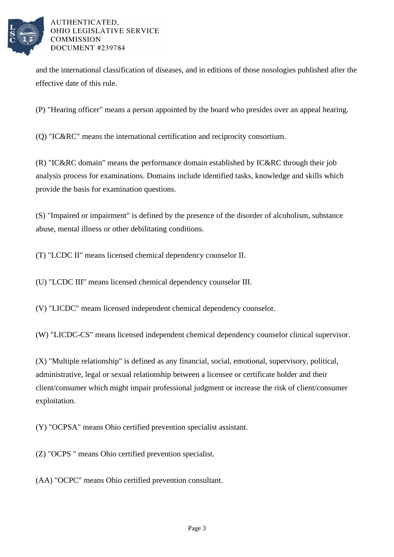

## AUTHENTICATED. OHIO LEGISLATIVE SERVICE **COMMISSION** DOCUMENT #239784

and the international classification of diseases, and in editions of those nosologies published after the effective date of this rule.

(P) "Hearing officer" means a person appointed by the board who presides over an appeal hearing.

(Q) "IC&RC" means the international certification and reciprocity consortium.

(R) "IC&RC domain" means the performance domain established by IC&RC through their job analysis process for examinations. Domains include identified tasks, knowledge and skills which provide the basis for examination questions.

(S) "Impaired or impairment" is defined by the presence of the disorder of alcoholism, substance abuse, mental illness or other debilitating conditions.

(T) "LCDC II" means licensed chemical dependency counselor II.

(U) "LCDC III" means licensed chemical dependency counselor III.

(V) "LICDC" means licensed independent chemical dependency counselor.

(W) "LICDC-CS" means licensed independent chemical dependency counselor clinical supervisor.

(X) "Multiple relationship" is defined as any financial, social, emotional, supervisory, political, administrative, legal or sexual relationship between a licensee or certificate holder and their client/consumer which might impair professional judgment or increase the risk of client/consumer exploitation.

(Y) "OCPSA" means Ohio certified prevention specialist assistant.

(Z) "OCPS " means Ohio certified prevention specialist.

(AA) "OCPC" means Ohio certified prevention consultant.